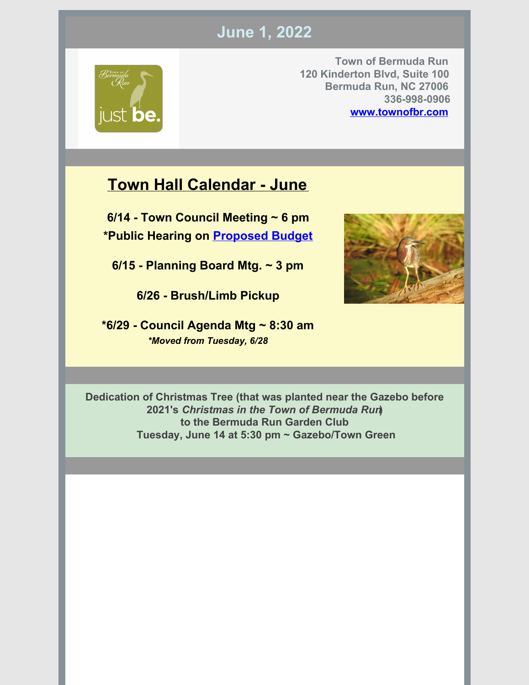# **June 1, 2022**



**Town of Bermuda Run 120 Kinderton Blvd, Suite 100 Bermuda Run, NC 27006 336-998-0906 [www.townofbr.com](https://www.townofbr.com)**

# **Town Hall Calendar - June**

**6/14 - Town Council Meeting ~ 6 pm \*Public Hearing on [Proposed](https://townofbr.com/wp-content/uploads/2022/05/Town-Managers-Proposed-2022-2023-Budget.pdf) Budget**

**6/15 - Planning Board Mtg. ~ 3 pm**

**6/26 - Brush/Limb Pickup**

**\*6/29 - Council Agenda Mtg ~ 8:30 am** *\*Moved from Tuesday, 6/28*



**Dedication of Christmas Tree (that was planted near the Gazebo before 2021's** *Christmas in the Town of Bermuda Run***) to the Bermuda Run Garden Club Tuesday, June 14 at 5:30 pm ~ Gazebo/Town Green**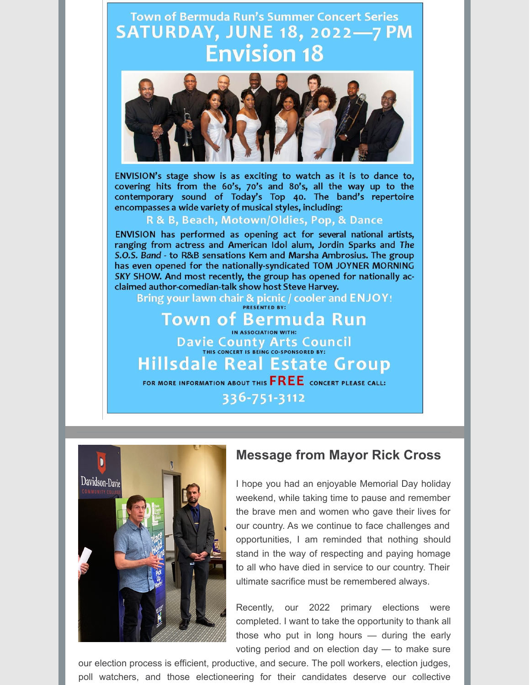**Town of Bermuda Run's Summer Concert Series SATURDAY, JUNE 18, 2022-7 PM Envision 18** 



ENVISION's stage show is as exciting to watch as it is to dance to, covering hits from the 60's, 70's and 80's, all the way up to the contemporary sound of Today's Top 40. The band's repertoire encompasses a wide variety of musical styles, including:

#### R & B, Beach, Motown/Oldies, Pop, & Dance

ENVISION has performed as opening act for several national artists, ranging from actress and American Idol alum, Jordin Sparks and The S.O.S. Band - to R&B sensations Kem and Marsha Ambrosius. The group has even opened for the nationally-syndicated TOM JOYNER MORNING SKY SHOW. And most recently, the group has opened for nationally acclaimed author-comedian-talk show host Steve Harvey.

Bring your lawn chair & picnic / cooler and ENJOY! PRESENTED BY:

## **Town of Bermuda Run** IN ASSOCIATION WITH: Davie County Arts Council **Hillsdale Real Estate Group** FOR MORE INFORMATION ABOUT THIS  $FREE$  concert please call:

336-751-3112



### **Message from Mayor Rick Cross**

I hope you had an enjoyable Memorial Day holiday weekend, while taking time to pause and remember the brave men and women who gave their lives for our country. As we continue to face challenges and opportunities, I am reminded that nothing should stand in the way of respecting and paying homage to all who have died in service to our country. Their ultimate sacrifice must be remembered always.

Recently, our 2022 primary elections were completed. I want to take the opportunity to thank all those who put in long hours — during the early voting period and on election day — to make sure

our election process is efficient, productive, and secure. The poll workers, election judges, poll watchers, and those electioneering for their candidates deserve our collective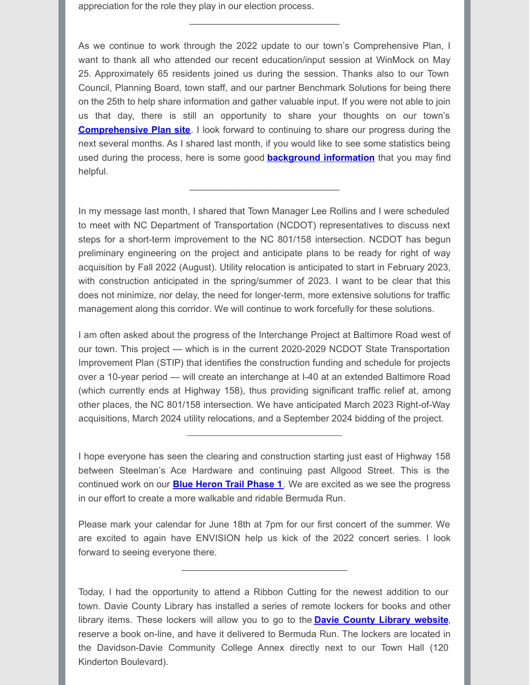appreciation for the role they play in our election process.

As we continue to work through the 2022 update to our town's Comprehensive Plan, I want to thank all who attended our recent education/input session at WinMock on May 25. Approximately 65 residents joined us during the session. Thanks also to our Town Council, Planning Board, town staff, and our partner Benchmark Solutions for being there on the 25th to help share information and gather valuable input. If you were not able to join us that day, there is still an opportunity to share your thoughts on our town's **[Comprehensive](https://www.plan4br.com/index.php) Plan site**. I look forward to continuing to share our progress during the next several months. As I shared last month, if you would like to see some statistics being used during the process, here is some good **[background](https://www.plan4br.com/images/presentations/Planning_Board_Meeting_03162022.pdf) information** that you may find helpful.

\_\_\_\_\_\_\_\_\_\_\_\_\_\_\_\_\_\_\_\_\_\_\_\_\_\_\_\_\_

In my message last month, I shared that Town Manager Lee Rollins and I were scheduled to meet with NC Department of Transportation (NCDOT) representatives to discuss next steps for a short-term improvement to the NC 801/158 intersection. NCDOT has begun preliminary engineering on the project and anticipate plans to be ready for right of way acquisition by Fall 2022 (August). Utility relocation is anticipated to start in February 2023, with construction anticipated in the spring/summer of 2023. I want to be clear that this does not minimize, nor delay, the need for longer-term, more extensive solutions for traffic management along this corridor. We will continue to work forcefully for these solutions.

\_\_\_\_\_\_\_\_\_\_\_\_\_\_\_\_\_\_\_\_\_\_\_\_\_\_\_\_\_

I am often asked about the progress of the Interchange Project at Baltimore Road west of our town. This project — which is in the current 2020-2029 NCDOT State Transportation Improvement Plan (STIP) that identifies the construction funding and schedule for projects over a 10-year period — will create an interchange at I-40 at an extended Baltimore Road (which currently ends at Highway 158), thus providing significant traffic relief at, among other places, the NC 801/158 intersection. We have anticipated March 2023 Right-of-Way acquisitions, March 2024 utility relocations, and a September 2024 bidding of the project.

I hope everyone has seen the clearing and construction starting just east of Highway 158 between Steelman's Ace Hardware and continuing past Allgood Street. This is the continued work on our **Blue Heron Trail [Phase](https://townofbr.com/wp-content/uploads/2022/03/Blue-Heron-Trail-Phase-1-Overview.pdf) 1**. We are excited as we see the progress in our effort to create a more walkable and ridable Bermuda Run.

\_\_\_\_\_\_\_\_\_\_\_\_\_\_\_\_\_\_\_\_\_\_\_\_\_\_\_\_\_\_\_\_\_\_\_

Please mark your calendar for June 18th at 7pm for our first concert of the summer. We are excited to again have ENVISION help us kick of the 2022 concert series. I look forward to seeing everyone there.

\_\_\_\_\_\_\_\_\_\_\_\_\_\_\_\_\_\_\_\_\_\_\_\_\_\_\_\_\_\_\_\_

Today, I had the opportunity to attend a Ribbon Cutting for the newest addition to our town. Davie County Library has installed a series of remote lockers for books and other library items. These lockers will allow you to go to the **Davie [County](https://davie.nccardinal.org/eg/opac/home) Library website**, reserve a book on-line, and have it delivered to Bermuda Run. The lockers are located in the Davidson-Davie Community College Annex directly next to our Town Hall (120 Kinderton Boulevard).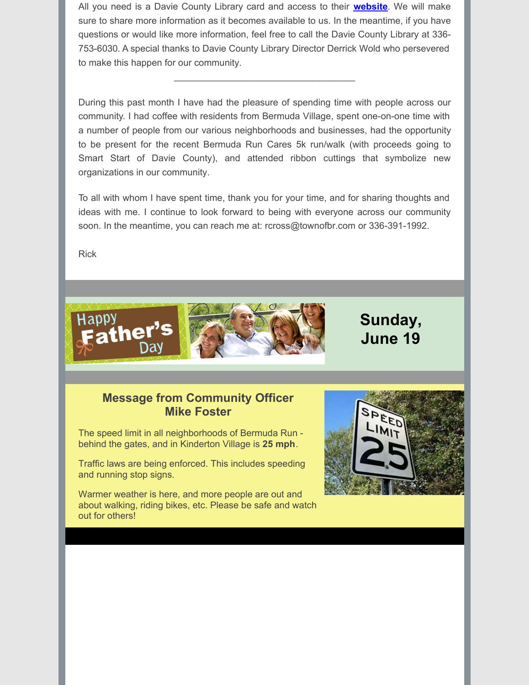All you need is a Davie County Library card and access to their **[website](https://davie.nccardinal.org/eg/opac/home)**. We will make sure to share more information as it becomes available to us. In the meantime, if you have questions or would like more information, feel free to call the Davie County Library at 336- 753-6030. A special thanks to Davie County Library Director Derrick Wold who persevered to make this happen for our community.

 $\mathcal{L}_\mathcal{L}$  , which is a set of the set of the set of the set of the set of the set of the set of the set of the set of the set of the set of the set of the set of the set of the set of the set of the set of the set of

During this past month I have had the pleasure of spending time with people across our community. I had coffee with residents from Bermuda Village, spent one-on-one time with a number of people from our various neighborhoods and businesses, had the opportunity to be present for the recent Bermuda Run Cares 5k run/walk (with proceeds going to Smart Start of Davie County), and attended ribbon cuttings that symbolize new organizations in our community.

To all with whom I have spent time, thank you for your time, and for sharing thoughts and ideas with me. I continue to look forward to being with everyone across our community soon. In the meantime, you can reach me at: rcross@townofbr.com or 336-391-1992.

Rick



**Sunday, June 19**

#### **Message from Community Officer Mike Foster**

The speed limit in all neighborhoods of Bermuda Run behind the gates, and in Kinderton Village is **25 mph**.

Traffic laws are being enforced. This includes speeding and running stop signs.

Warmer weather is here, and more people are out and about walking, riding bikes, etc. Please be safe and watch out for others!